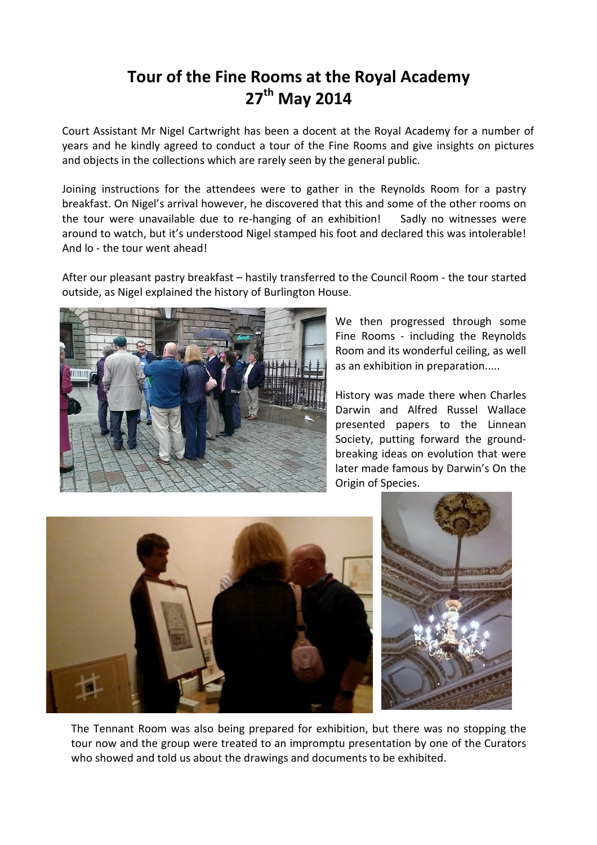## Tour of the Fine Rooms at the Royal Academy 27<sup>th</sup> May 2014

Court Assistant Mr Nigel Cartwright has been a docent at the Royal Academy for a number of years and he kindly agreed to conduct a tour of the Fine Rooms and give insights on pictures and objects in the collections which are rarely seen by the general public.

Joining instructions for the attendees were to gather in the Reynolds Room for a pastry breakfast. On Nigel's arrival however, he discovered that this and some of the other rooms on the tour were unavailable due to re-hanging of an exhibition! Sadly no witnesses were around to watch, but it's understood Nigel stamped his foot and declared this was intolerable! And lo - the tour went ahead!

After our pleasant pastry breakfast – hastily transferred to the Council Room - the tour started outside, as Nigel explained the history of Burlington House.



We then progressed through some Fine Rooms - including the Reynolds Room and its wonderful ceiling, as well as an exhibition in preparation.....

History was made there when Charles Darwin and Alfred Russel Wallace presented papers to the Linnean Society, putting forward the groundbreaking ideas on evolution that were later made famous by Darwin's On the Origin of Species.



The Tennant Room was also being prepared for exhibition, but there was no stopping the tour now and the group were treated to an impromptu presentation by one of the Curators who showed and told us about the drawings and documents to be exhibited.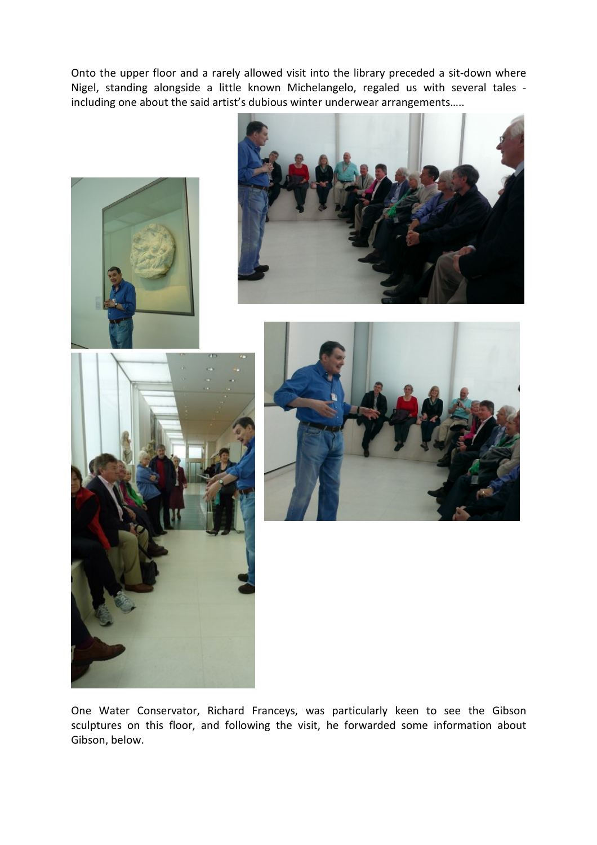Onto the upper floor and a rarely allowed visit into the library preceded a sit-down where Nigel, standing alongside a little known Michelangelo, regaled us with several tales including one about the said artist's dubious winter underwear arrangements…..



One Water Conservator, Richard Franceys, was particularly keen to see the Gibson sculptures on this floor, and following the visit, he forwarded some information about Gibson, below.